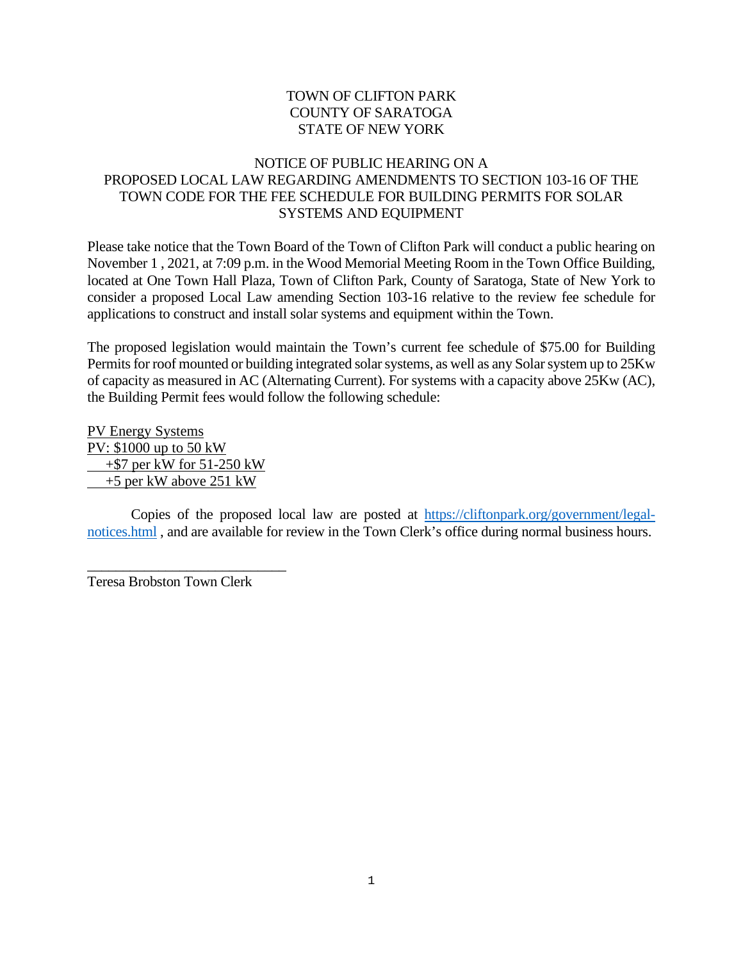## TOWN OF CLIFTON PARK COUNTY OF SARATOGA STATE OF NEW YORK

## NOTICE OF PUBLIC HEARING ON A PROPOSED LOCAL LAW REGARDING AMENDMENTS TO SECTION 103-16 OF THE TOWN CODE FOR THE FEE SCHEDULE FOR BUILDING PERMITS FOR SOLAR SYSTEMS AND EQUIPMENT

Please take notice that the Town Board of the Town of Clifton Park will conduct a public hearing on November 1 , 2021, at 7:09 p.m. in the Wood Memorial Meeting Room in the Town Office Building, located at One Town Hall Plaza, Town of Clifton Park, County of Saratoga, State of New York to consider a proposed Local Law amending Section 103-16 relative to the review fee schedule for applications to construct and install solar systems and equipment within the Town.

The proposed legislation would maintain the Town's current fee schedule of \$75.00 for Building Permits for roof mounted or building integrated solar systems, as well as any Solar system up to 25Kw of capacity as measured in AC (Alternating Current). For systems with a capacity above 25Kw (AC), the Building Permit fees would follow the following schedule:

PV Energy Systems PV: \$1000 up to 50 kW +\$7 per kW for 51-250 kW +5 per kW above 251 kW

Copies of the proposed local law are posted at [https://cliftonpark.org/government/legal](https://cliftonpark.org/government/legal-notices.html)[notices.html](https://cliftonpark.org/government/legal-notices.html) , and are available for review in the Town Clerk's office during normal business hours.

\_\_\_\_\_\_\_\_\_\_\_\_\_\_\_\_\_\_\_\_\_\_\_\_\_\_\_\_ Teresa Brobston Town Clerk